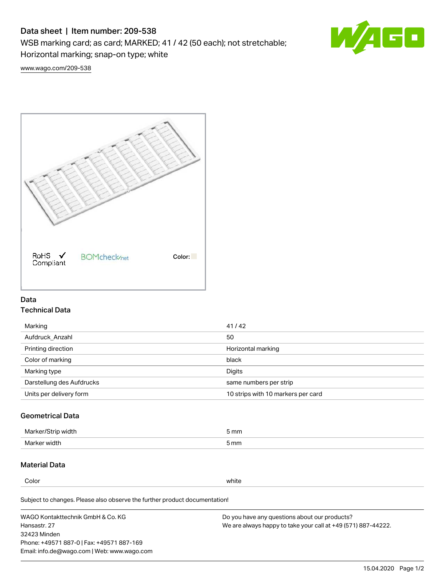# Data sheet | Item number: 209-538

WSB marking card; as card; MARKED; 41 / 42 (50 each); not stretchable;

Horizontal marking; snap-on type; white



[www.wago.com/209-538](http://www.wago.com/209-538)



## Data Technical Data

| 41/42                              |
|------------------------------------|
| 50                                 |
| Horizontal marking                 |
| black                              |
| Digits                             |
| same numbers per strip             |
| 10 strips with 10 markers per card |
|                                    |

## Geometrical Data

| Marker/Strip width | 5 mm |
|--------------------|------|
| Marker width       | 5 mm |

## Material Data

Color white

Subject to changes. Please also observe the further product documentation!

WAGO Kontakttechnik GmbH & Co. KG Hansastr. 27 32423 Minden Phone: +49571 887-0 | Fax: +49571 887-169 Email: info.de@wago.com | Web: www.wago.com Do you have any questions about our products? We are always happy to take your call at +49 (571) 887-44222.